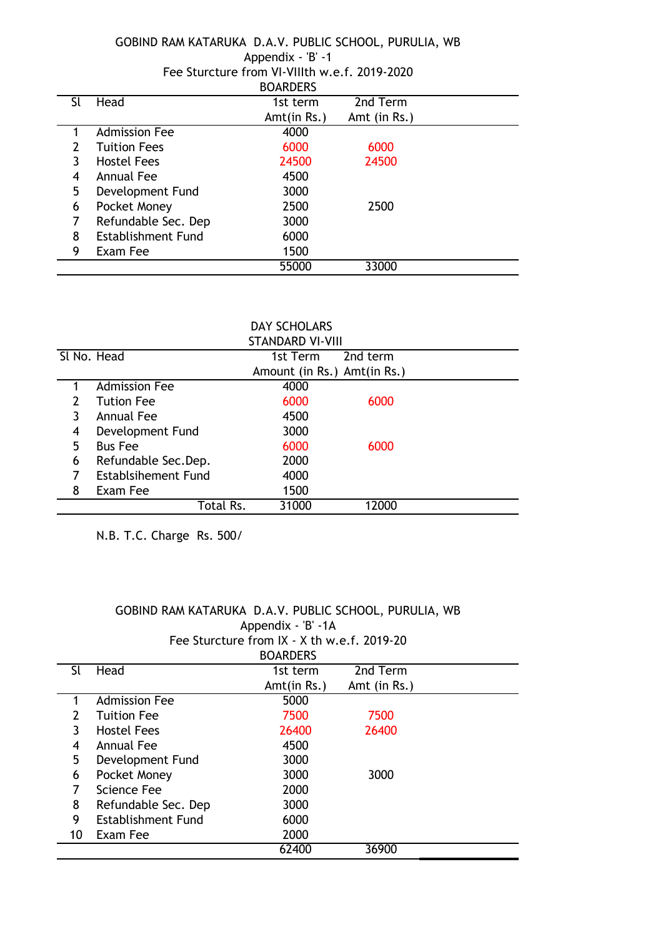## Sl Head 1st term 2nd Term Amt(in Rs.) Amt (in Rs.) 1 Admission Fee 4000<br>2 Tuition Fees 6000 2 Tuition Fees 6000 6000 GOBIND RAM KATARUKA D.A.V. PUBLIC SCHOOL, PURULIA, WB Appendix - 'B' -1 Fee Sturcture from VI-VIIIth w.e.f. 2019-2020 BOARDERS

|   |                           | ----  | ----  |  |
|---|---------------------------|-------|-------|--|
|   | <b>Hostel Fees</b>        | 24500 | 24500 |  |
|   | Annual Fee                | 4500  |       |  |
| 5 | Development Fund          | 3000  |       |  |
| 6 | Pocket Money              | 2500  | 2500  |  |
|   | Refundable Sec. Dep       | 3000  |       |  |
| 8 | <b>Establishment Fund</b> | 6000  |       |  |
| 9 | Exam Fee                  | 1500  |       |  |
|   |                           | 55000 | 33000 |  |
|   |                           |       |       |  |

|             |                            | <b>DAY SCHOLARS</b>         |          |  |
|-------------|----------------------------|-----------------------------|----------|--|
|             |                            | <b>STANDARD VI-VIII</b>     |          |  |
| Sl No. Head |                            | 1st Term                    | 2nd term |  |
|             |                            | Amount (in Rs.) Amt(in Rs.) |          |  |
|             | <b>Admission Fee</b>       | 4000                        |          |  |
|             | <b>Tution Fee</b>          | 6000                        | 6000     |  |
| 3           | Annual Fee                 | 4500                        |          |  |
| 4           | Development Fund           | 3000                        |          |  |
| 5           | <b>Bus Fee</b>             | 6000                        | 6000     |  |
| 6           | Refundable Sec.Dep.        | 2000                        |          |  |
|             | <b>Establsihement Fund</b> | 4000                        |          |  |
| 8           | Exam Fee                   | 1500                        |          |  |
|             | Total Rs.                  | 31000                       |          |  |

N.B. T.C. Charge Rs. 500/

| GOBIND RAM KATARUKA D.A.V. PUBLIC SCHOOL, PURULIA, WB |                    |  |
|-------------------------------------------------------|--------------------|--|
|                                                       | Appendix - 'B' -1A |  |
| Fee Sturcture from $IX - X$ th w.e.f. 2019-20         |                    |  |

|    |                      | <b>BOARDERS</b> |              |  |
|----|----------------------|-----------------|--------------|--|
| Sl | Head                 | 1st term        | 2nd Term     |  |
|    |                      | Amt(in Rs.)     | Amt (in Rs.) |  |
|    | <b>Admission Fee</b> | 5000            |              |  |
|    | <b>Tuition Fee</b>   | 7500            | 7500         |  |
| 3  | <b>Hostel Fees</b>   | 26400           | 26400        |  |
| 4  | Annual Fee           | 4500            |              |  |
| 5  | Development Fund     | 3000            |              |  |
| 6  | Pocket Money         | 3000            | 3000         |  |
|    | Science Fee          | 2000            |              |  |
| 8  | Refundable Sec. Dep  | 3000            |              |  |
| 9  | Establishment Fund   | 6000            |              |  |
| 10 | Exam Fee             | 2000            |              |  |
|    |                      | 62400           | 36900        |  |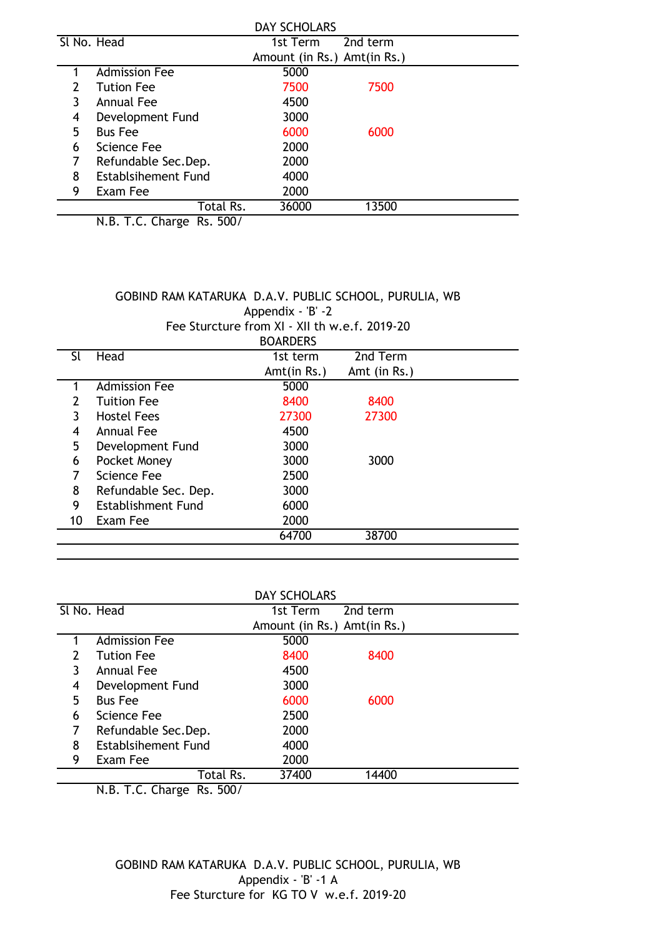|             |                            | <b>DAY SCHOLARS</b>         |          |  |
|-------------|----------------------------|-----------------------------|----------|--|
| Sl No. Head |                            | 1st Term                    | 2nd term |  |
|             |                            | Amount (in Rs.) Amt(in Rs.) |          |  |
|             | <b>Admission Fee</b>       | 5000                        |          |  |
|             | <b>Tution Fee</b>          | 7500                        | 7500     |  |
| 3           | Annual Fee                 | 4500                        |          |  |
| 4           | Development Fund           | 3000                        |          |  |
| 5           | <b>Bus Fee</b>             | 6000                        | 6000     |  |
| 6           | Science Fee                | 2000                        |          |  |
|             | Refundable Sec.Dep.        | 2000                        |          |  |
| 8           | <b>Establsihement Fund</b> | 4000                        |          |  |
| 9           | Exam Fee                   | 2000                        |          |  |
|             | Total Rs.                  | 36000                       | 13500    |  |

N.B. T.C. Charge Rs. 500/

GOBIND RAM KATARUKA D.A.V. PUBLIC SCHOOL, PURULIA, WB Appendix - 'B' -2 Fee Sturcture from XI - XII th w.e.f. 2019-20

|    |                           | <b>BOARDERS</b> |              |  |
|----|---------------------------|-----------------|--------------|--|
| Sl | Head                      | 1st term        | 2nd Term     |  |
|    |                           | Amt $(in Rs.)$  | Amt (in Rs.) |  |
|    | <b>Admission Fee</b>      | 5000            |              |  |
| 2  | <b>Tuition Fee</b>        | 8400            | 8400         |  |
| 3  | <b>Hostel Fees</b>        | 27300           | 27300        |  |
| 4  | Annual Fee                | 4500            |              |  |
| 5  | Development Fund          | 3000            |              |  |
| 6  | Pocket Money              | 3000            | 3000         |  |
|    | Science Fee               | 2500            |              |  |
| 8  | Refundable Sec. Dep.      | 3000            |              |  |
| 9  | <b>Establishment Fund</b> | 6000            |              |  |
| 10 | Exam Fee                  | 2000            |              |  |
|    |                           | 64700           | 38700        |  |

|   |                            | <b>DAY SCHOLARS</b>         |          |  |
|---|----------------------------|-----------------------------|----------|--|
|   | Sl No. Head                | 1st Term                    | 2nd term |  |
|   |                            | Amount (in Rs.) Amt(in Rs.) |          |  |
|   | <b>Admission Fee</b>       | 5000                        |          |  |
|   | <b>Tution Fee</b>          | 8400                        | 8400     |  |
| 3 | Annual Fee                 | 4500                        |          |  |
| 4 | Development Fund           | 3000                        |          |  |
| 5 | <b>Bus Fee</b>             | 6000                        | 6000     |  |
| 6 | Science Fee                | 2500                        |          |  |
|   | Refundable Sec.Dep.        | 2000                        |          |  |
| 8 | <b>Establsihement Fund</b> | 4000                        |          |  |
| 9 | Exam Fee                   | 2000                        |          |  |
|   | Total Rs.                  | 37400                       | 14400    |  |

N.B. T.C. Charge Rs. 500/

GOBIND RAM KATARUKA D.A.V. PUBLIC SCHOOL, PURULIA, WB Appendix - 'B' -1 A Fee Sturcture for KG TO V w.e.f. 2019-20